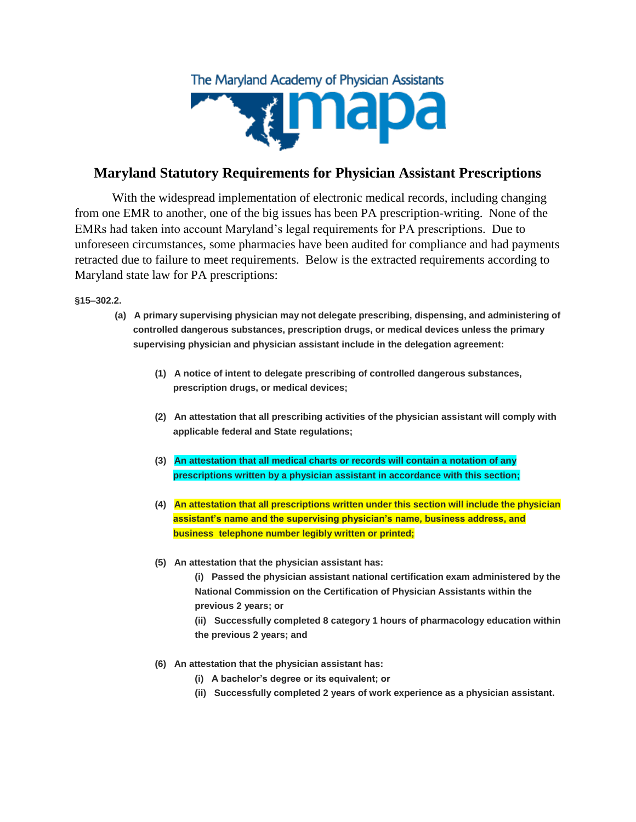

## **Maryland Statutory Requirements for Physician Assistant Prescriptions**

With the widespread implementation of electronic medical records, including changing from one EMR to another, one of the big issues has been PA prescription-writing. None of the EMRs had taken into account Maryland's legal requirements for PA prescriptions. Due to unforeseen circumstances, some pharmacies have been audited for compliance and had payments retracted due to failure to meet requirements. Below is the extracted requirements according to Maryland state law for PA prescriptions:

**§15–302.2.** 

- **(a) A primary supervising physician may not delegate prescribing, dispensing, and administering of controlled dangerous substances, prescription drugs, or medical devices unless the primary supervising physician and physician assistant include in the delegation agreement:**
	- **(1) A notice of intent to delegate prescribing of controlled dangerous substances, prescription drugs, or medical devices;**
	- **(2) An attestation that all prescribing activities of the physician assistant will comply with applicable federal and State regulations;**
	- **(3) An attestation that all medical charts or records will contain a notation of any prescriptions written by a physician assistant in accordance with this section;**
	- **(4) An attestation that all prescriptions written under this section will include the physician assistant's name and the supervising physician's name, business address, and business telephone number legibly written or printed;**
	- **(5) An attestation that the physician assistant has:**
		- **(i) Passed the physician assistant national certification exam administered by the National Commission on the Certification of Physician Assistants within the previous 2 years; or**
		- **(ii) Successfully completed 8 category 1 hours of pharmacology education within the previous 2 years; and**
	- **(6) An attestation that the physician assistant has:**
		- **(i) A bachelor's degree or its equivalent; or**
		- **(ii) Successfully completed 2 years of work experience as a physician assistant.**